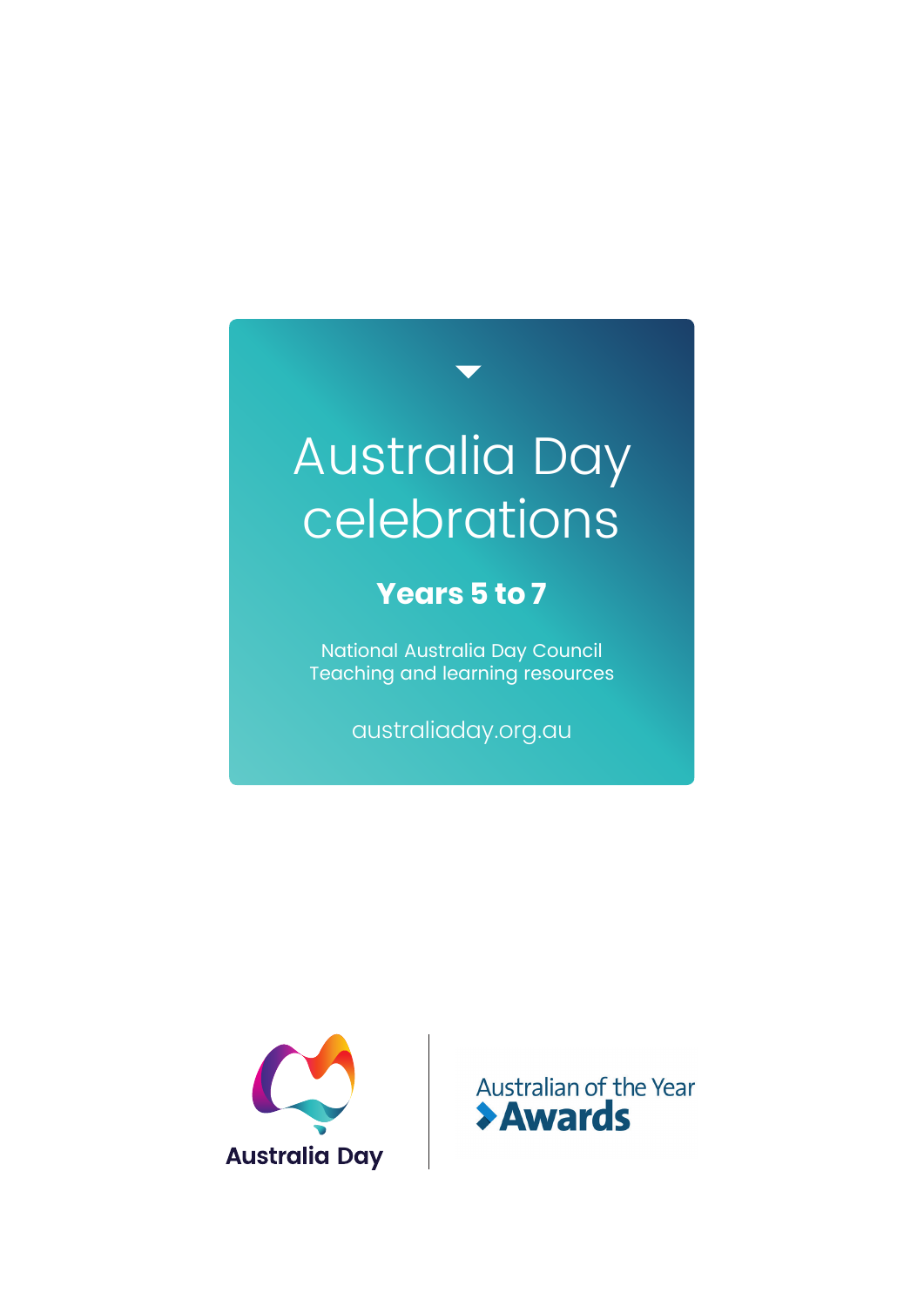# Australia Day celebrations

### **Years 5 to 7**

National Australia Day Council Teaching and learning resources

australiaday.org.au



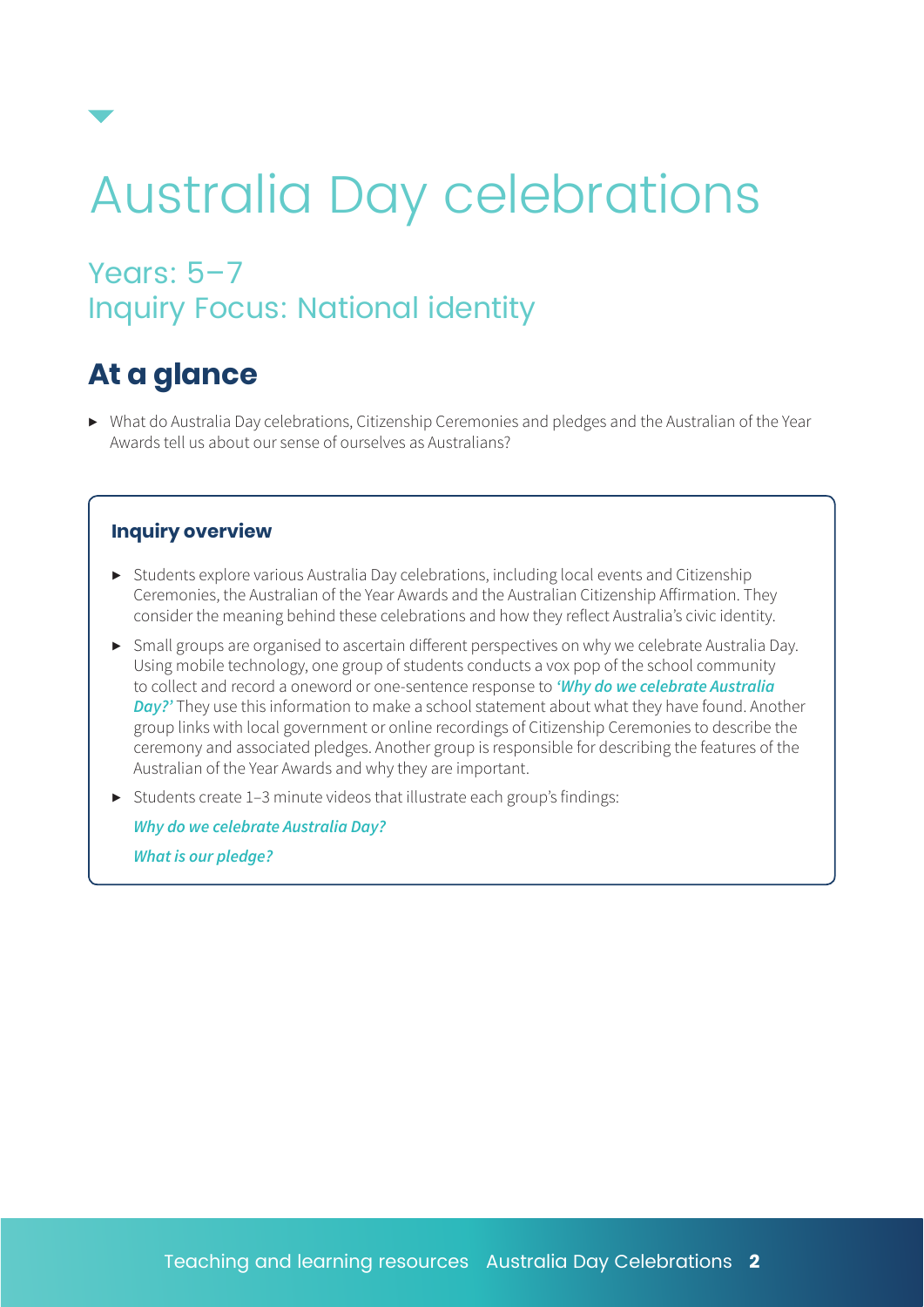# Australia Day celebrations

### Years: 5-7 Inquiry Focus: National identity

# **At a glance**

▶ What do Australia Day celebrations, Citizenship Ceremonies and pledges and the Australian of the Year Awards tell us about our sense of ourselves as Australians?

#### **Inquiry overview**

- ▶ Students explore various Australia Day celebrations, including local events and Citizenship Ceremonies, the Australian of the Year Awards and the Australian Citizenship Affirmation. They consider the meaning behind these celebrations and how they reflect Australia's civic identity.
- ▶ Small groups are organised to ascertain different perspectives on why we celebrate Australia Day. Using mobile technology, one group of students conducts a vox pop of the school community to collect and record a oneword or one-sentence response to *'Why do we celebrate Australia Day?'* They use this information to make a school statement about what they have found. Another group links with local government or online recordings of Citizenship Ceremonies to describe the ceremony and associated pledges. Another group is responsible for describing the features of the Australian of the Year Awards and why they are important.
- ▶ Students create 1–3 minute videos that illustrate each group's findings:

*Why do we celebrate Australia Day? What is our pledge?*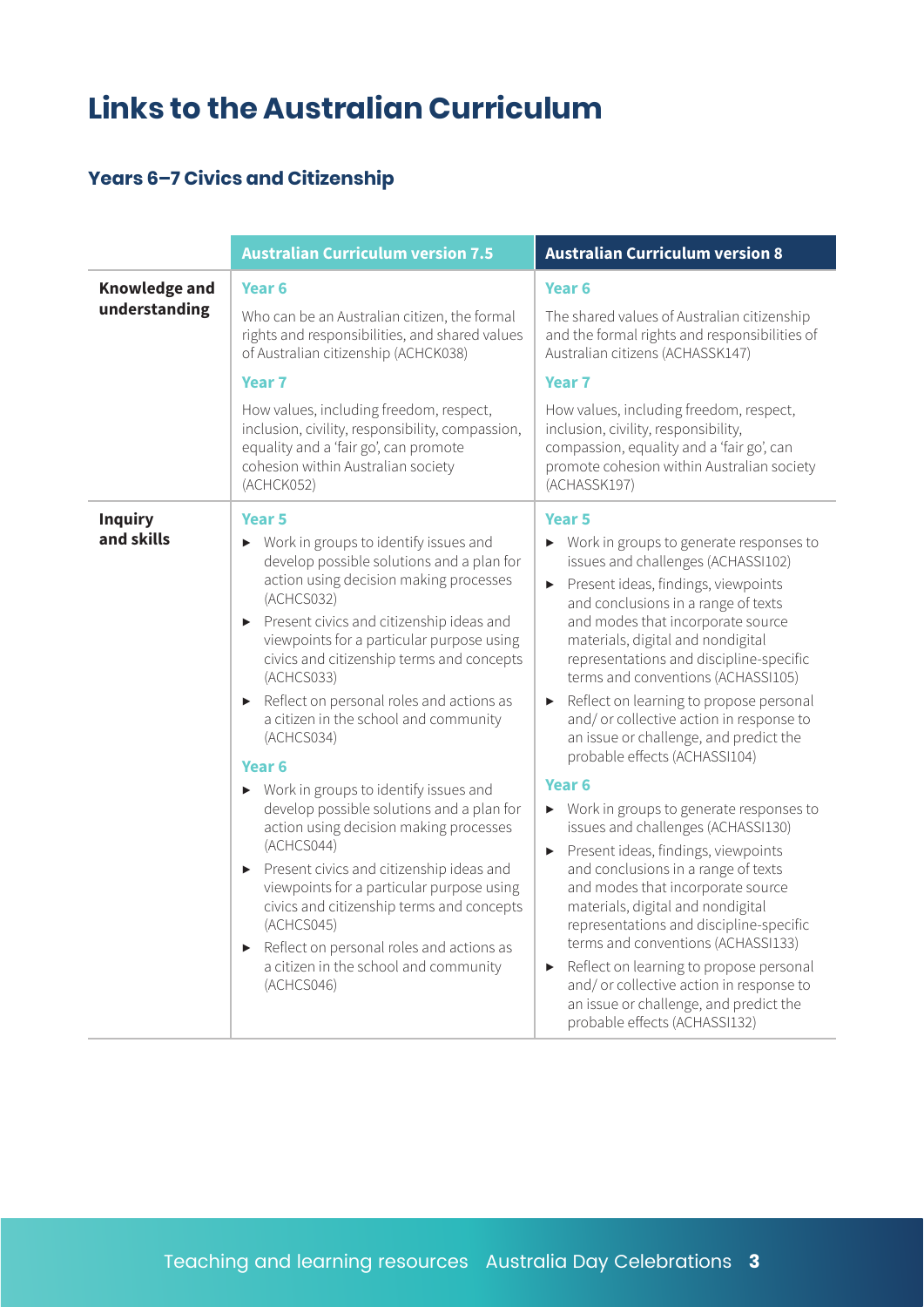# **Links to the Australian Curriculum**

#### **Years 6–7 Civics and Citizenship**

|                                       | <b>Australian Curriculum version 7.5</b>                                                                                                                                                                                                                                                                                                                                                                                                                                                                                                                                                                                                                                                                                                                                                                                                                                                                                                                                                               | <b>Australian Curriculum version 8</b>                                                                                                                                                                                                                                                                                                                                                                                                                                                                                                                                                                                                                                                                                                                                                                                                                                                                                                                                                                                                                            |
|---------------------------------------|--------------------------------------------------------------------------------------------------------------------------------------------------------------------------------------------------------------------------------------------------------------------------------------------------------------------------------------------------------------------------------------------------------------------------------------------------------------------------------------------------------------------------------------------------------------------------------------------------------------------------------------------------------------------------------------------------------------------------------------------------------------------------------------------------------------------------------------------------------------------------------------------------------------------------------------------------------------------------------------------------------|-------------------------------------------------------------------------------------------------------------------------------------------------------------------------------------------------------------------------------------------------------------------------------------------------------------------------------------------------------------------------------------------------------------------------------------------------------------------------------------------------------------------------------------------------------------------------------------------------------------------------------------------------------------------------------------------------------------------------------------------------------------------------------------------------------------------------------------------------------------------------------------------------------------------------------------------------------------------------------------------------------------------------------------------------------------------|
| <b>Knowledge and</b><br>understanding | Year <sub>6</sub><br>Who can be an Australian citizen, the formal<br>rights and responsibilities, and shared values<br>of Australian citizenship (ACHCK038)<br><b>Year 7</b><br>How values, including freedom, respect,<br>inclusion, civility, responsibility, compassion,<br>equality and a 'fair go', can promote<br>cohesion within Australian society<br>(ACHCK052)                                                                                                                                                                                                                                                                                                                                                                                                                                                                                                                                                                                                                               | Year <sub>6</sub><br>The shared values of Australian citizenship<br>and the formal rights and responsibilities of<br>Australian citizens (ACHASSK147)<br>Year <sub>7</sub><br>How values, including freedom, respect,<br>inclusion, civility, responsibility,<br>compassion, equality and a 'fair go', can<br>promote cohesion within Australian society<br>(ACHASSK197)                                                                                                                                                                                                                                                                                                                                                                                                                                                                                                                                                                                                                                                                                          |
| <b>Inquiry</b><br>and skills          | Year <sub>5</sub><br>Work in groups to identify issues and<br>$\blacktriangleright$<br>develop possible solutions and a plan for<br>action using decision making processes<br>(ACHCS032)<br>Present civics and citizenship ideas and<br>$\blacktriangleright$<br>viewpoints for a particular purpose using<br>civics and citizenship terms and concepts<br>(ACHCS033)<br>Reflect on personal roles and actions as<br>$\blacktriangleright$<br>a citizen in the school and community<br>(ACHCS034)<br>Year <sub>6</sub><br>Work in groups to identify issues and<br>$\blacktriangleright$<br>develop possible solutions and a plan for<br>action using decision making processes<br>(ACHCS044)<br>Present civics and citizenship ideas and<br>$\blacktriangleright$<br>viewpoints for a particular purpose using<br>civics and citizenship terms and concepts<br>(ACHCS045)<br>Reflect on personal roles and actions as<br>$\blacktriangleright$<br>a citizen in the school and community<br>(ACHCS046) | Year <sub>5</sub><br>Work in groups to generate responses to<br>issues and challenges (ACHASSI102)<br>Present ideas, findings, viewpoints<br>▶<br>and conclusions in a range of texts<br>and modes that incorporate source<br>materials, digital and nondigital<br>representations and discipline-specific<br>terms and conventions (ACHASSI105)<br>Reflect on learning to propose personal<br>▶<br>and/or collective action in response to<br>an issue or challenge, and predict the<br>probable effects (ACHASSI104)<br>Year <sub>6</sub><br>▶ Work in groups to generate responses to<br>issues and challenges (ACHASSI130)<br>Present ideas, findings, viewpoints<br>$\blacktriangleright$<br>and conclusions in a range of texts<br>and modes that incorporate source<br>materials, digital and nondigital<br>representations and discipline-specific<br>terms and conventions (ACHASSI133)<br>Reflect on learning to propose personal<br>and/or collective action in response to<br>an issue or challenge, and predict the<br>probable effects (ACHASSI132) |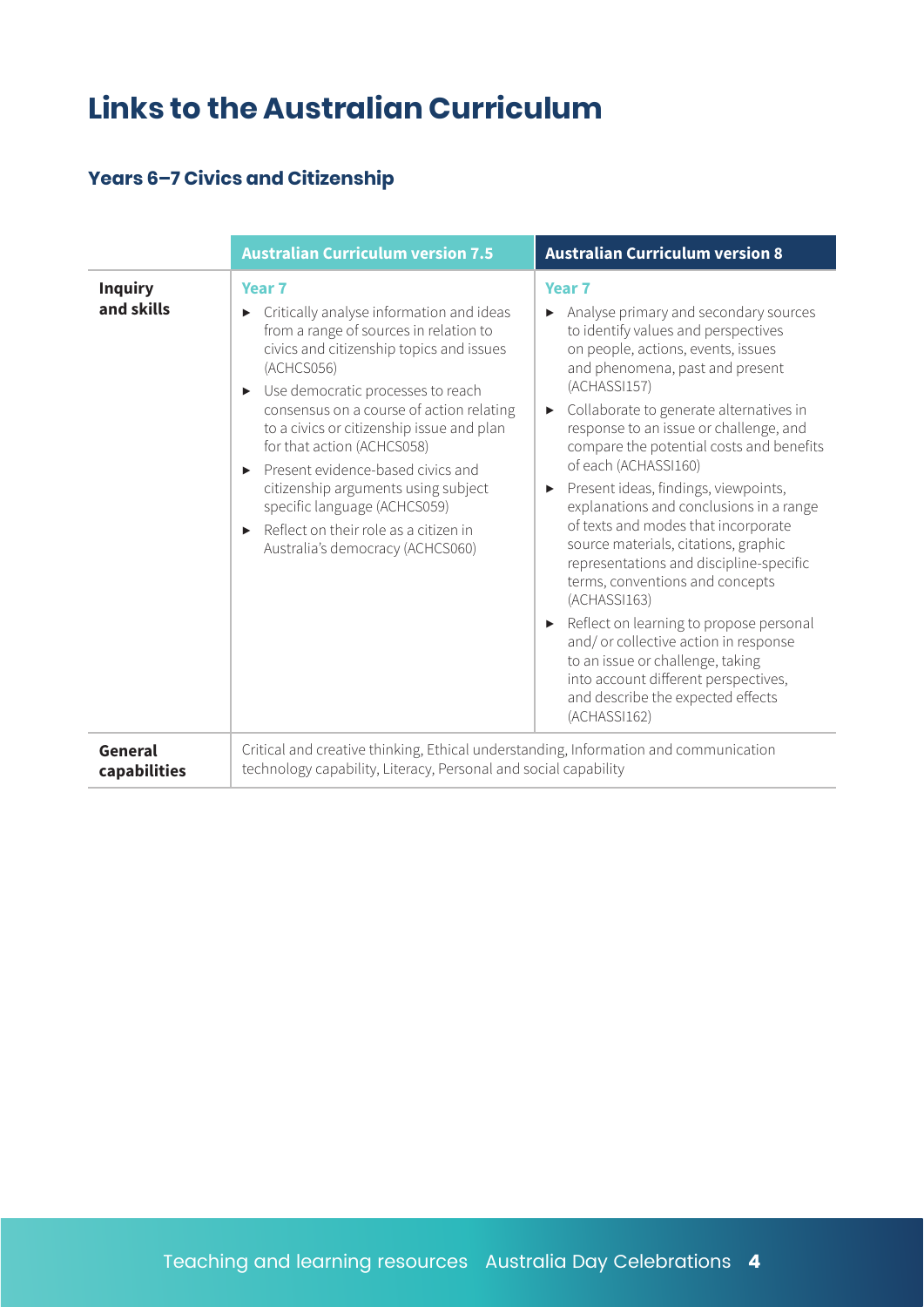# **Links to the Australian Curriculum**

#### **Years 6–7 Civics and Citizenship**

|                              | <b>Australian Curriculum version 7.5</b>                                                                                                                                                                                                                                                                                                                                                                                                                                                                                                                       | <b>Australian Curriculum version 8</b>                                                                                                                                                                                                                                                                                                                                                                                                                                                                                                                                                                                                                                                                                                                                                                                                       |
|------------------------------|----------------------------------------------------------------------------------------------------------------------------------------------------------------------------------------------------------------------------------------------------------------------------------------------------------------------------------------------------------------------------------------------------------------------------------------------------------------------------------------------------------------------------------------------------------------|----------------------------------------------------------------------------------------------------------------------------------------------------------------------------------------------------------------------------------------------------------------------------------------------------------------------------------------------------------------------------------------------------------------------------------------------------------------------------------------------------------------------------------------------------------------------------------------------------------------------------------------------------------------------------------------------------------------------------------------------------------------------------------------------------------------------------------------------|
| <b>Inquiry</b><br>and skills | Year <sub>7</sub><br>Critically analyse information and ideas<br>$\blacktriangleright$<br>from a range of sources in relation to<br>civics and citizenship topics and issues<br>(ACHCS056)<br>Use democratic processes to reach<br>▶<br>consensus on a course of action relating<br>to a civics or citizenship issue and plan<br>for that action (ACHCS058)<br>Present evidence-based civics and<br>ь<br>citizenship arguments using subject<br>specific language (ACHCS059)<br>Reflect on their role as a citizen in<br>▶<br>Australia's democracy (ACHCS060) | Year <sub>7</sub><br>Analyse primary and secondary sources<br>to identify values and perspectives<br>on people, actions, events, issues<br>and phenomena, past and present<br>(ACHASSI157)<br>Collaborate to generate alternatives in<br>▶<br>response to an issue or challenge, and<br>compare the potential costs and benefits<br>of each (ACHASSI160)<br>Present ideas, findings, viewpoints,<br>explanations and conclusions in a range<br>of texts and modes that incorporate<br>source materials, citations, graphic<br>representations and discipline-specific<br>terms, conventions and concepts<br>(ACHASSI163)<br>Reflect on learning to propose personal<br>and/or collective action in response<br>to an issue or challenge, taking<br>into account different perspectives,<br>and describe the expected effects<br>(ACHASSI162) |
| General<br>capabilities      | Critical and creative thinking, Ethical understanding, Information and communication<br>technology capability, Literacy, Personal and social capability                                                                                                                                                                                                                                                                                                                                                                                                        |                                                                                                                                                                                                                                                                                                                                                                                                                                                                                                                                                                                                                                                                                                                                                                                                                                              |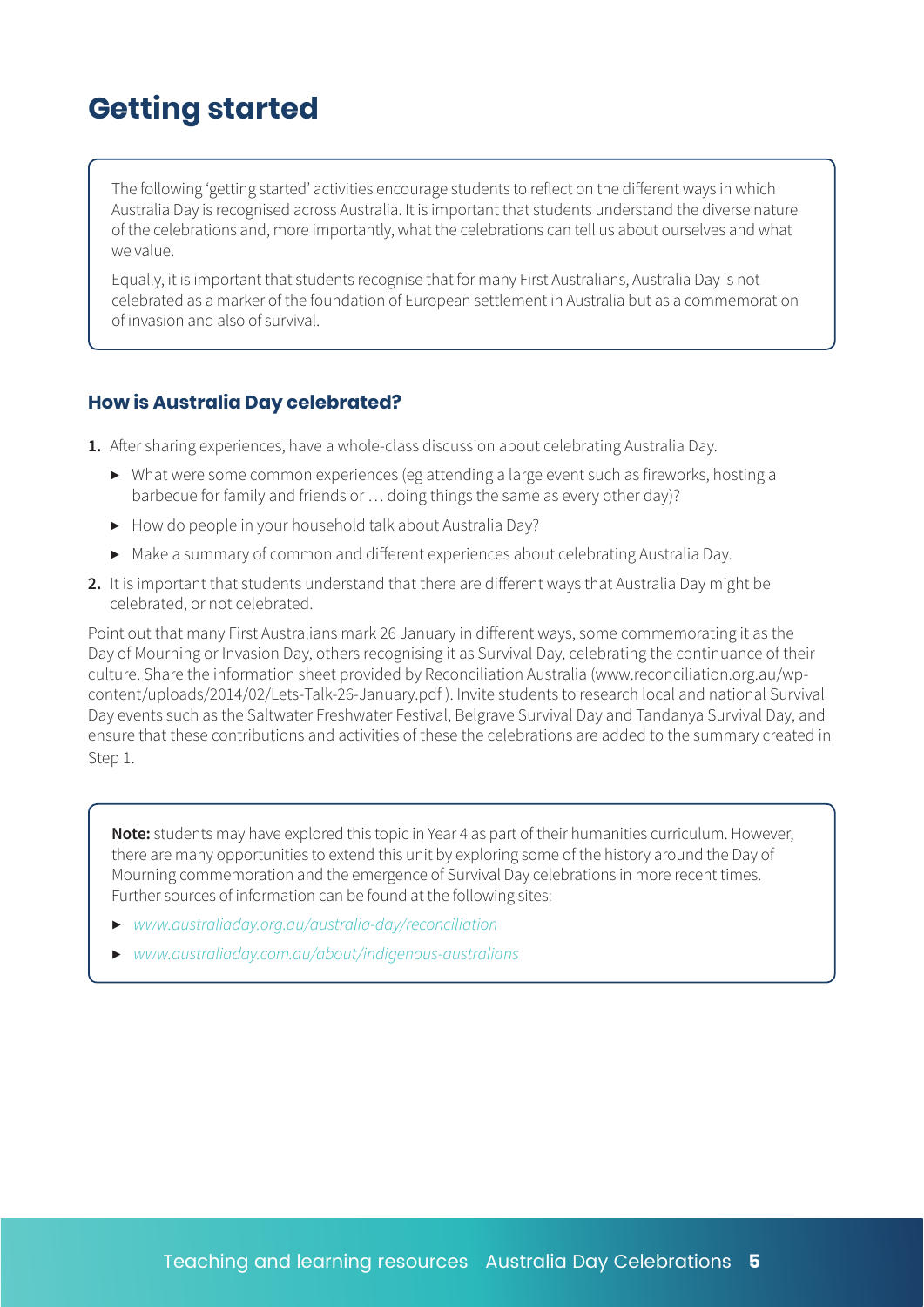### **Getting started**

The following 'getting started' activities encourage students to reflect on the different ways in which Australia Day is recognised across Australia. It is important that students understand the diverse nature of the celebrations and, more importantly, what the celebrations can tell us about ourselves and what we value.

Equally, it is important that students recognise that for many First Australians, Australia Day is not celebrated as a marker of the foundation of European settlement in Australia but as a commemoration of invasion and also of survival.

#### **How is Australia Day celebrated?**

**1.** After sharing experiences, have a whole-class discussion about celebrating Australia Day.

- ▶ What were some common experiences (eg attending a large event such as fireworks, hosting a barbecue for family and friends or … doing things the same as every other day)?
- ▶ How do people in your household talk about Australia Day?
- ▶ Make a summary of common and different experiences about celebrating Australia Day.
- **2.** It is important that students understand that there are different ways that Australia Day might be celebrated, or not celebrated.

Point out that many First Australians mark 26 January in different ways, some commemorating it as the Day of Mourning or Invasion Day, others recognising it as Survival Day, celebrating the continuance of their culture. Share the information sheet provided by Reconciliation Australia (www.reconciliation.org.au/wpcontent/uploads/2014/02/Lets-Talk-26-January.pdf ). Invite students to research local and national Survival Day events such as the Saltwater Freshwater Festival, Belgrave Survival Day and Tandanya Survival Day, and ensure that these contributions and activities of these the celebrations are added to the summary created in Step 1.

**Note:** students may have explored this topic in Year 4 as part of their humanities curriculum. However, there are many opportunities to extend this unit by exploring some of the history around the Day of Mourning commemoration and the emergence of Survival Day celebrations in more recent times. Further sources of information can be found at the following sites:

- ▶ *www.australiaday.org.au/australia-day/reconciliation*
- ▶ *www.australiaday.com.au/about/indigenous-australians*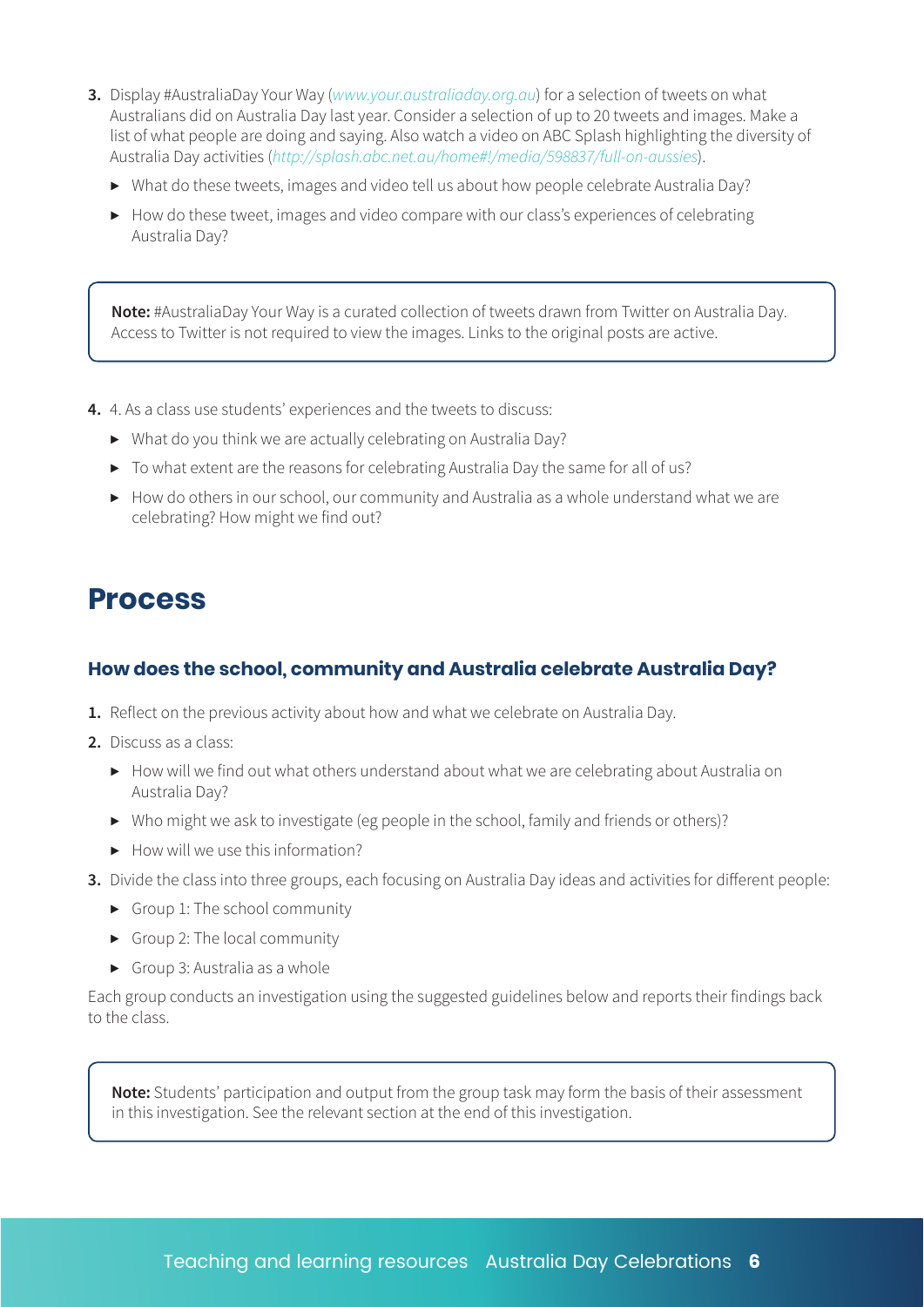- **3.** Display #AustraliaDay Your Way (*www.your.australiaday.org.au*) for a selection of tweets on what Australians did on Australia Day last year. Consider a selection of up to 20 tweets and images. Make a list of what people are doing and saying. Also watch a video on ABC Splash highlighting the diversity of Australia Day activities (*http://splash.abc.net.au/home#!/media/598837/full-on-aussies*).
	- ▶ What do these tweets, images and video tell us about how people celebrate Australia Day?
	- ▶ How do these tweet, images and video compare with our class's experiences of celebrating Australia Day?

**Note:** #AustraliaDay Your Way is a curated collection of tweets drawn from Twitter on Australia Day. Access to Twitter is not required to view the images. Links to the original posts are active.

**4.** 4. As a class use students' experiences and the tweets to discuss:

- ▶ What do you think we are actually celebrating on Australia Day?
- ▶ To what extent are the reasons for celebrating Australia Day the same for all of us?
- $\triangleright$  How do others in our school, our community and Australia as a whole understand what we are celebrating? How might we find out?

#### **Process**

#### **How does the school, community and Australia celebrate Australia Day?**

- **1.** Reflect on the previous activity about how and what we celebrate on Australia Day.
- **2.** Discuss as a class:
	- ▶ How will we find out what others understand about what we are celebrating about Australia on Australia Day?
	- ▶ Who might we ask to investigate (eg people in the school, family and friends or others)?
	- $\blacktriangleright$  How will we use this information?
- **3.** Divide the class into three groups, each focusing on Australia Day ideas and activities for different people:
	- $\triangleright$  Group 1: The school community
	- ▶ Group 2: The local community
	- $\triangleright$  Group 3: Australia as a whole

Each group conducts an investigation using the suggested guidelines below and reports their findings back to the class.

**Note:** Students' participation and output from the group task may form the basis of their assessment in this investigation. See the relevant section at the end of this investigation.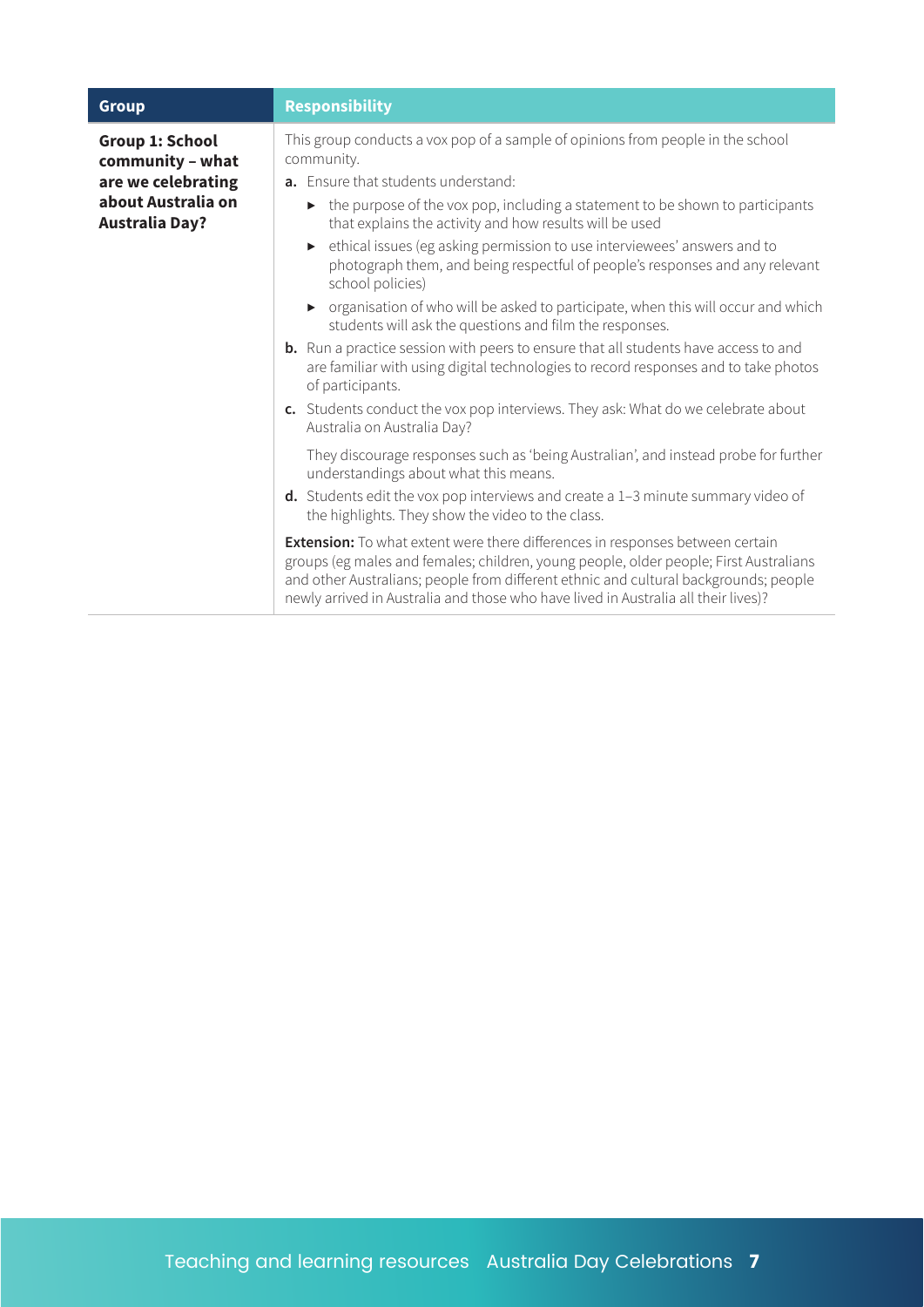| <b>Group</b>                                                                                             | <b>Responsibility</b>                                                                                                                                                                                                                                                                                                                                       |
|----------------------------------------------------------------------------------------------------------|-------------------------------------------------------------------------------------------------------------------------------------------------------------------------------------------------------------------------------------------------------------------------------------------------------------------------------------------------------------|
| Group 1: School<br>community - what<br>are we celebrating<br>about Australia on<br><b>Australia Day?</b> | This group conducts a vox pop of a sample of opinions from people in the school<br>community.<br>a. Ensure that students understand:<br>• the purpose of the vox pop, including a statement to be shown to participants                                                                                                                                     |
|                                                                                                          | that explains the activity and how results will be used<br>• ethical issues (eg asking permission to use interviewees' answers and to                                                                                                                                                                                                                       |
|                                                                                                          | photograph them, and being respectful of people's responses and any relevant<br>school policies)                                                                                                                                                                                                                                                            |
|                                                                                                          | • organisation of who will be asked to participate, when this will occur and which<br>students will ask the questions and film the responses.                                                                                                                                                                                                               |
|                                                                                                          | <b>b.</b> Run a practice session with peers to ensure that all students have access to and<br>are familiar with using digital technologies to record responses and to take photos<br>of participants.                                                                                                                                                       |
|                                                                                                          | c. Students conduct the vox pop interviews. They ask: What do we celebrate about<br>Australia on Australia Day?                                                                                                                                                                                                                                             |
|                                                                                                          | They discourage responses such as 'being Australian', and instead probe for further<br>understandings about what this means.                                                                                                                                                                                                                                |
|                                                                                                          | $d.$ Students edit the vox pop interviews and create a 1-3 minute summary video of<br>the highlights. They show the video to the class.                                                                                                                                                                                                                     |
|                                                                                                          | <b>Extension:</b> To what extent were there differences in responses between certain<br>groups (eg males and females; children, young people, older people; First Australians<br>and other Australians; people from different ethnic and cultural backgrounds; people<br>newly arrived in Australia and those who have lived in Australia all their lives)? |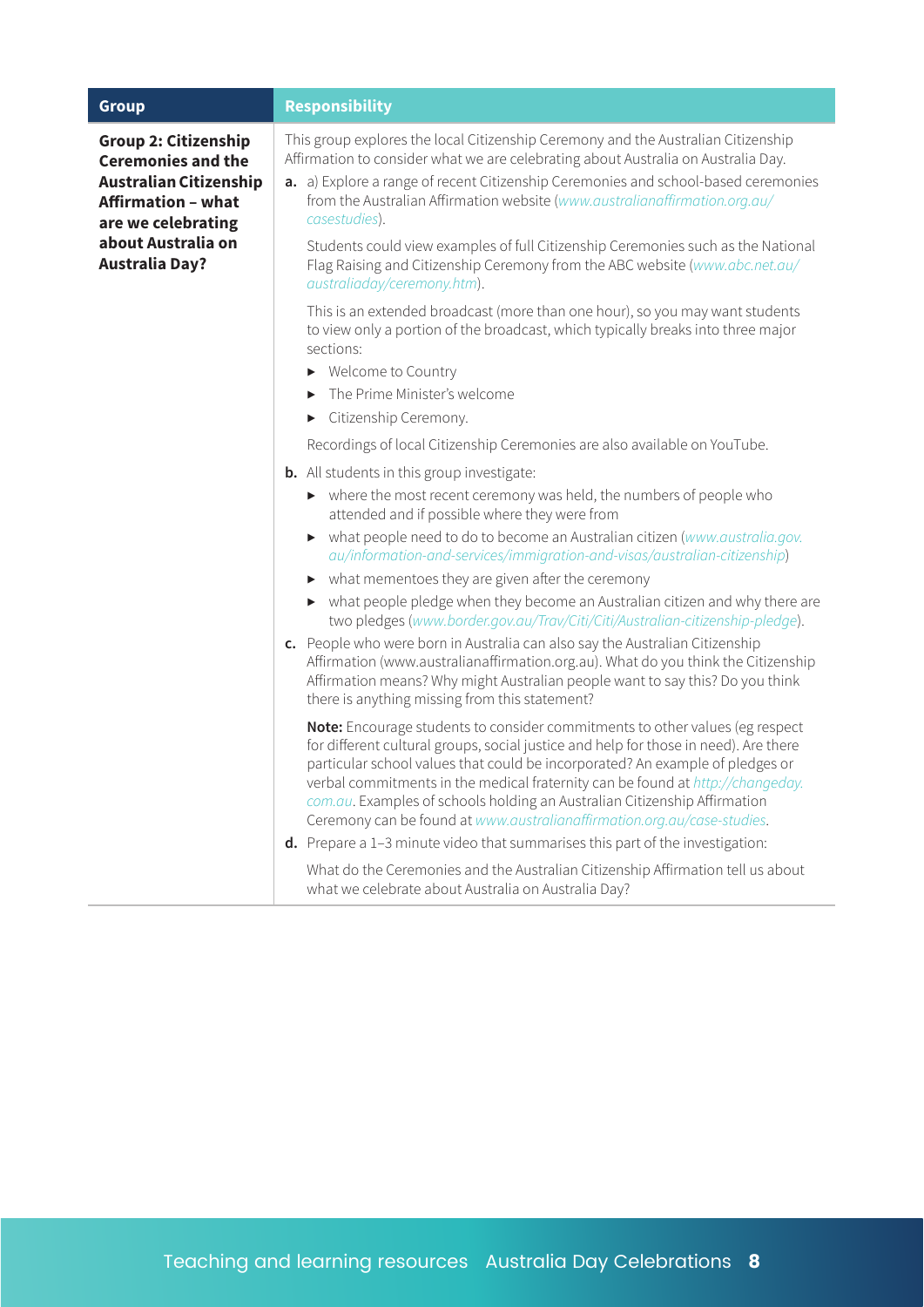| <b>Group</b>                                                                                                                                                       | <b>Responsibility</b>                                                                                                                                                                                                                                                                                                                                                                                                                                                                           |
|--------------------------------------------------------------------------------------------------------------------------------------------------------------------|-------------------------------------------------------------------------------------------------------------------------------------------------------------------------------------------------------------------------------------------------------------------------------------------------------------------------------------------------------------------------------------------------------------------------------------------------------------------------------------------------|
| <b>Group 2: Citizenship</b><br><b>Ceremonies and the</b><br><b>Australian Citizenship</b><br><b>Affirmation - what</b><br>are we celebrating<br>about Australia on | This group explores the local Citizenship Ceremony and the Australian Citizenship<br>Affirmation to consider what we are celebrating about Australia on Australia Day.<br>a. a) Explore a range of recent Citizenship Ceremonies and school-based ceremonies<br>from the Australian Affirmation website (www.australianaffirmation.org.au/<br>casestudies).                                                                                                                                     |
| <b>Australia Day?</b>                                                                                                                                              | Students could view examples of full Citizenship Ceremonies such as the National<br>Flag Raising and Citizenship Ceremony from the ABC website (www.abc.net.au/<br>australiaday/ceremony.htm).                                                                                                                                                                                                                                                                                                  |
|                                                                                                                                                                    | This is an extended broadcast (more than one hour), so you may want students<br>to view only a portion of the broadcast, which typically breaks into three major<br>sections:                                                                                                                                                                                                                                                                                                                   |
|                                                                                                                                                                    | Welcome to Country<br>▶                                                                                                                                                                                                                                                                                                                                                                                                                                                                         |
|                                                                                                                                                                    | The Prime Minister's welcome                                                                                                                                                                                                                                                                                                                                                                                                                                                                    |
|                                                                                                                                                                    | Citizenship Ceremony.                                                                                                                                                                                                                                                                                                                                                                                                                                                                           |
|                                                                                                                                                                    | Recordings of local Citizenship Ceremonies are also available on YouTube.                                                                                                                                                                                                                                                                                                                                                                                                                       |
|                                                                                                                                                                    | <b>b.</b> All students in this group investigate:                                                                                                                                                                                                                                                                                                                                                                                                                                               |
|                                                                                                                                                                    | • where the most recent ceremony was held, the numbers of people who<br>attended and if possible where they were from                                                                                                                                                                                                                                                                                                                                                                           |
|                                                                                                                                                                    | what people need to do to become an Australian citizen (www.australia.gov.<br>▶<br>au/information-and-services/immigration-and-visas/australian-citizenship)                                                                                                                                                                                                                                                                                                                                    |
|                                                                                                                                                                    | what mementoes they are given after the ceremony<br>▶                                                                                                                                                                                                                                                                                                                                                                                                                                           |
|                                                                                                                                                                    | what people pledge when they become an Australian citizen and why there are<br>▶<br>two pledges (www.border.gov.au/Trav/Citi/Citi/Australian-citizenship-pledge).                                                                                                                                                                                                                                                                                                                               |
|                                                                                                                                                                    | c. People who were born in Australia can also say the Australian Citizenship<br>Affirmation (www.australianaffirmation.org.au). What do you think the Citizenship<br>Affirmation means? Why might Australian people want to say this? Do you think<br>there is anything missing from this statement?                                                                                                                                                                                            |
|                                                                                                                                                                    | Note: Encourage students to consider commitments to other values (eg respect<br>for different cultural groups, social justice and help for those in need). Are there<br>particular school values that could be incorporated? An example of pledges or<br>verbal commitments in the medical fraternity can be found at http://changeday.<br>com.au. Examples of schools holding an Australian Citizenship Affirmation<br>Ceremony can be found at www.australianaffirmation.org.au/case-studies. |
|                                                                                                                                                                    | d. Prepare a 1-3 minute video that summarises this part of the investigation:                                                                                                                                                                                                                                                                                                                                                                                                                   |
|                                                                                                                                                                    | What do the Ceremonies and the Australian Citizenship Affirmation tell us about<br>what we celebrate about Australia on Australia Day?                                                                                                                                                                                                                                                                                                                                                          |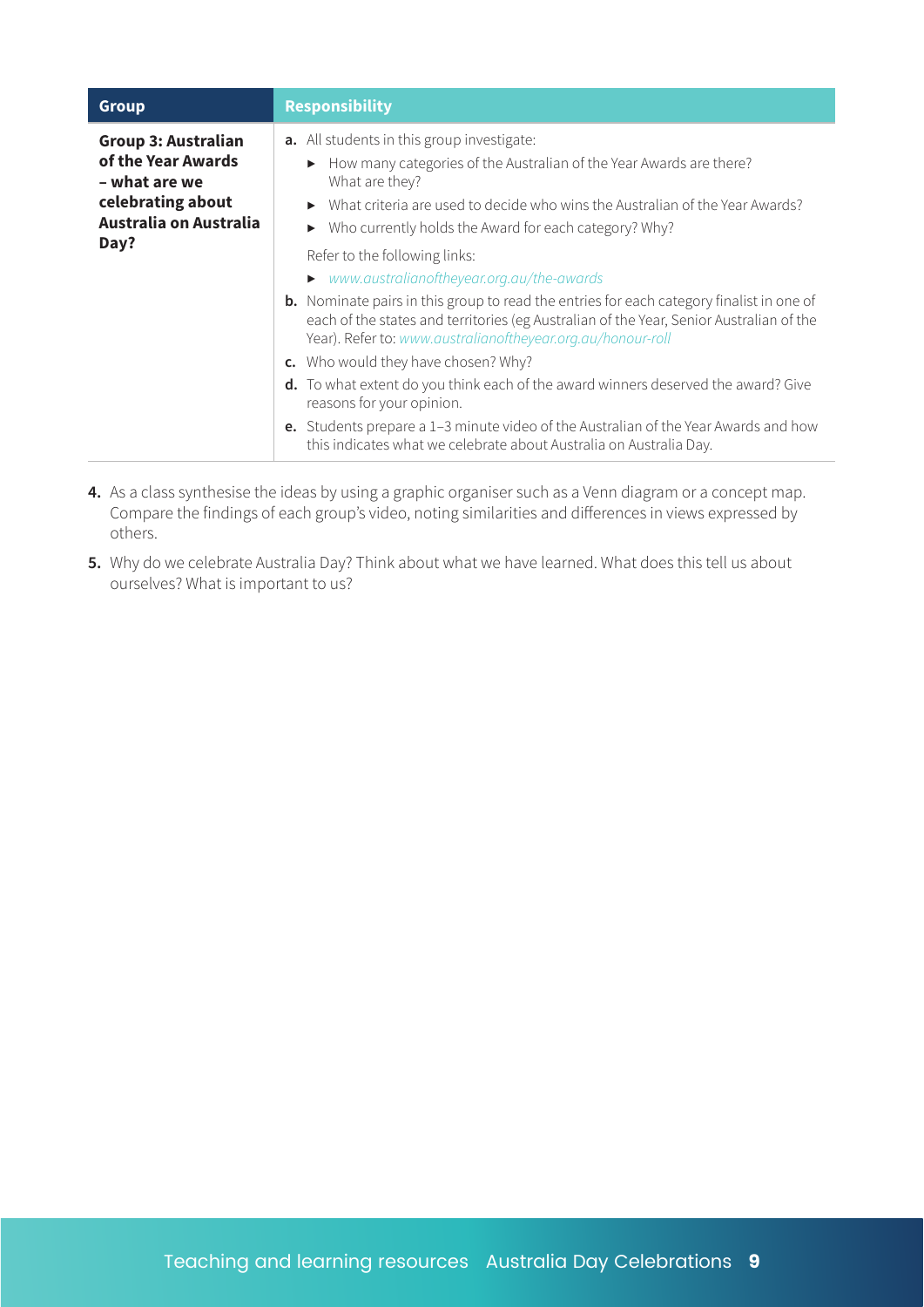| <b>Group</b>                                                                                                             | <b>Responsibility</b>                                                                                                                                                                                                                                                                                                                     |
|--------------------------------------------------------------------------------------------------------------------------|-------------------------------------------------------------------------------------------------------------------------------------------------------------------------------------------------------------------------------------------------------------------------------------------------------------------------------------------|
| <b>Group 3: Australian</b><br>of the Year Awards<br>– what are we<br>celebrating about<br>Australia on Australia<br>Day? | <b>a.</b> All students in this group investigate:<br>• How many categories of the Australian of the Year Awards are there?<br>What are they?<br>What criteria are used to decide who wins the Australian of the Year Awards?<br>Who currently holds the Award for each category? Why?                                                     |
|                                                                                                                          | Refer to the following links:<br>▶ www.australianoftheyear.org.au/the-awards<br><b>b.</b> Nominate pairs in this group to read the entries for each category finalist in one of<br>each of the states and territories (eg Australian of the Year, Senior Australian of the<br>Year). Refer to: www.australianoftheyear.org.au/honour-roll |
|                                                                                                                          | c. Who would they have chosen? Why?<br>d. To what extent do you think each of the award winners deserved the award? Give<br>reasons for your opinion.<br><b>e.</b> Students prepare a 1–3 minute video of the Australian of the Year Awards and how                                                                                       |
|                                                                                                                          | this indicates what we celebrate about Australia on Australia Day.                                                                                                                                                                                                                                                                        |

- **4.** As a class synthesise the ideas by using a graphic organiser such as a Venn diagram or a concept map. Compare the findings of each group's video, noting similarities and differences in views expressed by others.
- **5.** Why do we celebrate Australia Day? Think about what we have learned. What does this tell us about ourselves? What is important to us?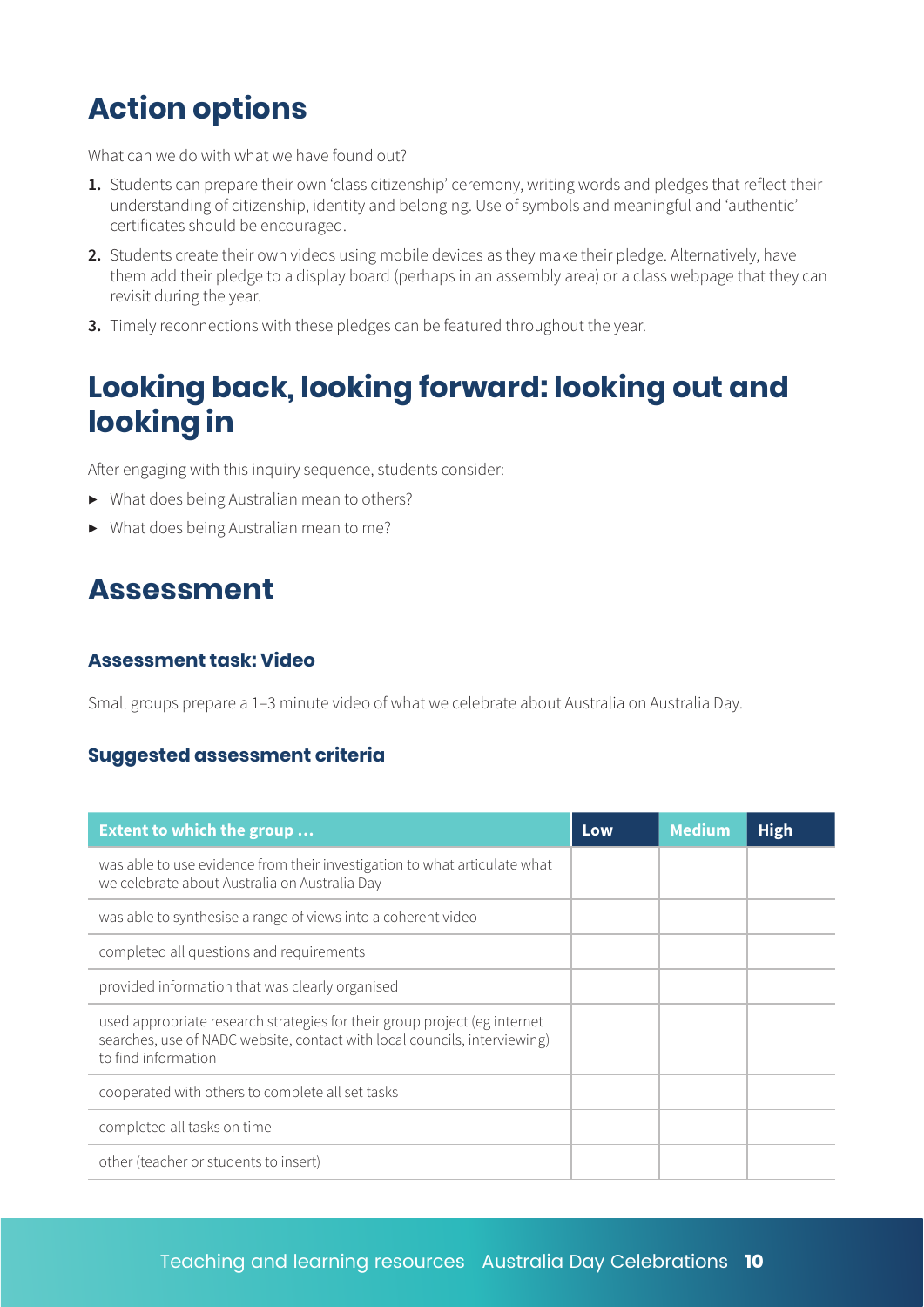### **Action options**

What can we do with what we have found out?

- **1.** Students can prepare their own 'class citizenship' ceremony, writing words and pledges that reflect their understanding of citizenship, identity and belonging. Use of symbols and meaningful and 'authentic' certificates should be encouraged.
- **2.** Students create their own videos using mobile devices as they make their pledge. Alternatively, have them add their pledge to a display board (perhaps in an assembly area) or a class webpage that they can revisit during the year.
- **3.** Timely reconnections with these pledges can be featured throughout the year.

### **Looking back, looking forward: looking out and looking in**

After engaging with this inquiry sequence, students consider:

- ▶ What does being Australian mean to others?
- ▶ What does being Australian mean to me?

### **Assessment**

#### **Assessment task: Video**

Small groups prepare a 1–3 minute video of what we celebrate about Australia on Australia Day.

#### **Suggested assessment criteria**

| <b>Extent to which the group</b>                                                                                                                                              | Low | <b>Medium</b> | <b>High</b> |
|-------------------------------------------------------------------------------------------------------------------------------------------------------------------------------|-----|---------------|-------------|
| was able to use evidence from their investigation to what articulate what<br>we celebrate about Australia on Australia Day                                                    |     |               |             |
| was able to synthesise a range of views into a coherent video                                                                                                                 |     |               |             |
| completed all questions and requirements                                                                                                                                      |     |               |             |
| provided information that was clearly organised                                                                                                                               |     |               |             |
| used appropriate research strategies for their group project (eg internet<br>searches, use of NADC website, contact with local councils, interviewing)<br>to find information |     |               |             |
| cooperated with others to complete all set tasks                                                                                                                              |     |               |             |
| completed all tasks on time                                                                                                                                                   |     |               |             |
| other (teacher or students to insert)                                                                                                                                         |     |               |             |